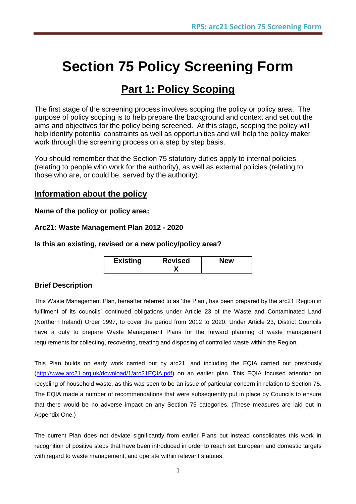# **Section 75 Policy Screening Form**

## **Part 1: Policy Scoping**

The first stage of the screening process involves scoping the policy or policy area. The purpose of policy scoping is to help prepare the background and context and set out the aims and objectives for the policy being screened. At this stage, scoping the policy will help identify potential constraints as well as opportunities and will help the policy maker work through the screening process on a step by step basis.

You should remember that the Section 75 statutory duties apply to internal policies (relating to people who work for the authority), as well as external policies (relating to those who are, or could be, served by the authority).

#### **Information about the policy**

**Name of the policy or policy area:**

#### **Arc21: Waste Management Plan 2012 - 2020**

#### **Is this an existing, revised or a new policy/policy area?**

| <b>Existing</b> | <b>Revised</b> | <b>New</b> |
|-----------------|----------------|------------|
|                 |                |            |

#### **Brief Description**

This Waste Management Plan, hereafter referred to as "the Plan", has been prepared by the arc21 Region in fulfilment of its councils' continued obligations under Article 23 of the Waste and Contaminated Land (Northern Ireland) Order 1997, to cover the period from 2012 to 2020. Under Article 23, District Councils have a duty to prepare Waste Management Plans for the forward planning of waste management requirements for collecting, recovering, treating and disposing of controlled waste within the Region.

This Plan builds on early work carried out by arc21, and including the EQIA carried out previously [\(http://www.arc21.org.uk/download/1/arc21EQIA.pdf\)](http://www.arc21.org.uk/download/1/arc21EQIA.pdf) on an earlier plan. This EQIA focused attention on recycling of household waste, as this was seen to be an issue of particular concern in relation to Section 75. The EQIA made a number of recommendations that were subsequently put in place by Councils to ensure that there would be no adverse impact on any Section 75 categories. (These measures are laid out in Appendix One.)

The current Plan does not deviate significantly from earlier Plans but instead consolidates this work in recognition of positive steps that have been introduced in order to reach set European and domestic targets with regard to waste management, and operate within relevant statutes.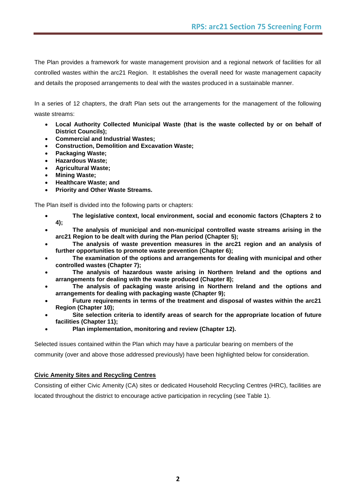The Plan provides a framework for waste management provision and a regional network of facilities for all controlled wastes within the arc21 Region. It establishes the overall need for waste management capacity and details the proposed arrangements to deal with the wastes produced in a sustainable manner.

In a series of 12 chapters, the draft Plan sets out the arrangements for the management of the following waste streams:

- **Local Authority Collected Municipal Waste (that is the waste collected by or on behalf of District Councils);**
- **Commercial and Industrial Wastes;**
- **Construction, Demolition and Excavation Waste;**
- **Packaging Waste;**
- **Hazardous Waste;**
- **Agricultural Waste;**
- **Mining Waste;**
- **Healthcare Waste; and**
- **Priority and Other Waste Streams.**

The Plan itself is divided into the following parts or chapters:

- **The legislative context, local environment, social and economic factors (Chapters 2 to 4);**
- **The analysis of municipal and non-municipal controlled waste streams arising in the arc21 Region to be dealt with during the Plan period (Chapter 5);**
- **The analysis of waste prevention measures in the arc21 region and an analysis of further opportunities to promote waste prevention (Chapter 6);**
- **The examination of the options and arrangements for dealing with municipal and other controlled wastes (Chapter 7);**
- **The analysis of hazardous waste arising in Northern Ireland and the options and arrangements for dealing with the waste produced (Chapter 8);**
- **The analysis of packaging waste arising in Northern Ireland and the options and arrangements for dealing with packaging waste (Chapter 9);**
- **Future requirements in terms of the treatment and disposal of wastes within the arc21 Region (Chapter 10);**
- **Site selection criteria to identify areas of search for the appropriate location of future facilities (Chapter 11);**
- **Plan implementation, monitoring and review (Chapter 12).**

Selected issues contained within the Plan which may have a particular bearing on members of the

community (over and above those addressed previously) have been highlighted below for consideration.

#### **Civic Amenity Sites and Recycling Centres**

Consisting of either Civic Amenity (CA) sites or dedicated Household Recycling Centres (HRC), facilities are located throughout the district to encourage active participation in recycling (see Table 1).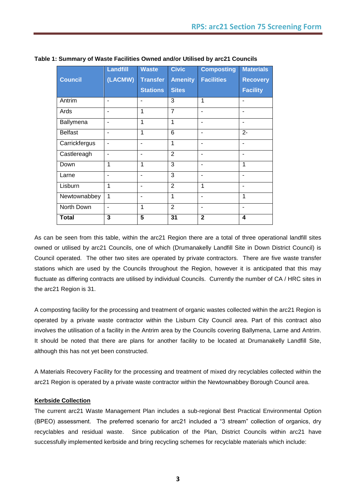|                | <b>Landfill</b> | <b>Waste</b>    | <b>Civic</b>   | <b>Composting</b> | <b>Materials</b> |
|----------------|-----------------|-----------------|----------------|-------------------|------------------|
| <b>Council</b> | (LACMW)         | <b>Transfer</b> | <b>Amenity</b> | <b>Facilities</b> | <b>Recovery</b>  |
|                |                 | <b>Stations</b> | <b>Sites</b>   |                   | <b>Facility</b>  |
| Antrim         |                 |                 | 3              | 1                 |                  |
| Ards           |                 | 1               | $\overline{7}$ |                   |                  |
| Ballymena      |                 | 1               | 1              |                   |                  |
| <b>Belfast</b> | ۰               | 1               | 6              | ۰                 | $2 -$            |
| Carrickfergus  | ۰               | $\blacksquare$  | 1              |                   | ۰                |
| Castlereagh    |                 | ٠               | $\overline{2}$ | ۰                 | ۰                |
| Down           | 1               | 1               | 3              | ۰                 | 1                |
| Larne          | ۰               | ۰               | 3              | ۰                 | ۰                |
| Lisburn        | 1               | $\blacksquare$  | $\overline{2}$ | 1                 | $\blacksquare$   |
| Newtownabbey   | 1               | ۰               | 1              | ۰                 | 1                |
| North Down     | ۰               | 1               | $\overline{2}$ | ۰                 | ٠                |
| <b>Total</b>   | 3               | 5               | 31             | $\overline{2}$    | 4                |

**Table 1: Summary of Waste Facilities Owned and/or Utilised by arc21 Councils**

As can be seen from this table, within the arc21 Region there are a total of three operational landfill sites owned or utilised by arc21 Councils, one of which (Drumanakelly Landfill Site in Down District Council) is Council operated. The other two sites are operated by private contractors. There are five waste transfer stations which are used by the Councils throughout the Region, however it is anticipated that this may fluctuate as differing contracts are utilised by individual Councils. Currently the number of CA / HRC sites in the arc21 Region is 31.

A composting facility for the processing and treatment of organic wastes collected within the arc21 Region is operated by a private waste contractor within the Lisburn City Council area. Part of this contract also involves the utilisation of a facility in the Antrim area by the Councils covering Ballymena, Larne and Antrim. It should be noted that there are plans for another facility to be located at Drumanakelly Landfill Site, although this has not yet been constructed.

A Materials Recovery Facility for the processing and treatment of mixed dry recyclables collected within the arc21 Region is operated by a private waste contractor within the Newtownabbey Borough Council area.

#### **Kerbside Collection**

The current arc21 Waste Management Plan includes a sub-regional Best Practical Environmental Option (BPEO) assessment. The preferred scenario for arc21 included a "3 stream" collection of organics, dry recyclables and residual waste. Since publication of the Plan, District Councils within arc21 have successfully implemented kerbside and bring recycling schemes for recyclable materials which include: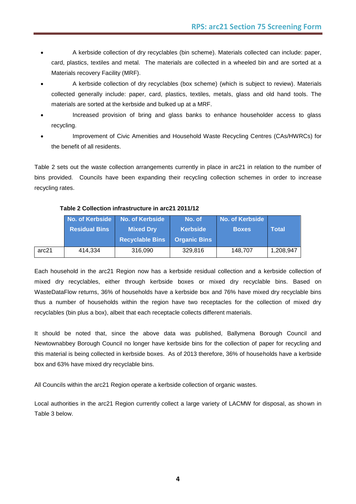- A kerbside collection of dry recyclables (bin scheme). Materials collected can include: paper, card, plastics, textiles and metal. The materials are collected in a wheeled bin and are sorted at a Materials recovery Facility (MRF).
- A kerbside collection of dry recyclables (box scheme) (which is subject to review). Materials collected generally include: paper, card, plastics, textiles, metals, glass and old hand tools. The materials are sorted at the kerbside and bulked up at a MRF.
- Increased provision of bring and glass banks to enhance householder access to glass recycling.
- Improvement of Civic Amenities and Household Waste Recycling Centres (CAs/HWRCs) for the benefit of all residents.

Table 2 sets out the waste collection arrangements currently in place in arc21 in relation to the number of bins provided. Councils have been expanding their recycling collection schemes in order to increase recycling rates.

|       | No. of Kerbside      | <b>No. of Kerbside</b> | No. of              | <b>No. of Kerbside</b> |           |
|-------|----------------------|------------------------|---------------------|------------------------|-----------|
|       | <b>Residual Bins</b> | <b>Mixed Drv</b>       | <b>Kerbside</b>     | <b>Boxes</b>           | Total     |
|       |                      | <b>Recyclable Bins</b> | <b>Organic Bins</b> |                        |           |
| arc21 | 414.334              | 316,090                | 329,816             | 148.707                | 1,208,947 |

#### **Table 2 Collection infrastructure in arc21 2011/12**

Each household in the arc21 Region now has a kerbside residual collection and a kerbside collection of mixed dry recyclables, either through kerbside boxes or mixed dry recyclable bins. Based on WasteDataFlow returns, 36% of households have a kerbside box and 76% have mixed dry recyclable bins thus a number of households within the region have two receptacles for the collection of mixed dry recyclables (bin plus a box), albeit that each receptacle collects different materials.

It should be noted that, since the above data was published, Ballymena Borough Council and Newtownabbey Borough Council no longer have kerbside bins for the collection of paper for recycling and this material is being collected in kerbside boxes. As of 2013 therefore, 36% of households have a kerbside box and 63% have mixed dry recyclable bins.

All Councils within the arc21 Region operate a kerbside collection of organic wastes.

Local authorities in the arc21 Region currently collect a large variety of LACMW for disposal, as shown in Table 3 below.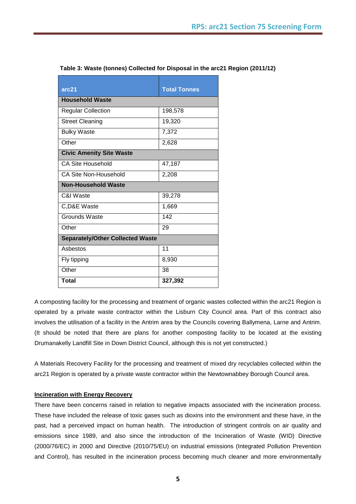| arc21                                   | <b>Total Tonnes</b> |  |  |
|-----------------------------------------|---------------------|--|--|
| <b>Household Waste</b>                  |                     |  |  |
| <b>Regular Collection</b>               | 198,578             |  |  |
| <b>Street Cleaning</b>                  | 19,320              |  |  |
| <b>Bulky Waste</b>                      | 7,372               |  |  |
| Other                                   | 2,628               |  |  |
| <b>Civic Amenity Site Waste</b>         |                     |  |  |
| <b>CA Site Household</b>                | 47,187              |  |  |
| CA Site Non-Household                   | 2,208               |  |  |
| <b>Non-Household Waste</b>              |                     |  |  |
| C&I Waste                               | 39,278              |  |  |
| C, D& E Waste                           | 1,669               |  |  |
| Grounds Waste                           | 142                 |  |  |
| Other                                   | 29                  |  |  |
| <b>Separately/Other Collected Waste</b> |                     |  |  |
| Asbestos                                | 11                  |  |  |
| Fly tipping                             | 8,930               |  |  |
| Other                                   | 38                  |  |  |
| <b>Total</b>                            | 327,392             |  |  |

**Table 3: Waste (tonnes) Collected for Disposal in the arc21 Region (2011/12)**

A composting facility for the processing and treatment of organic wastes collected within the arc21 Region is operated by a private waste contractor within the Lisburn City Council area. Part of this contract also involves the utilisation of a facility in the Antrim area by the Councils covering Ballymena, Larne and Antrim. (It should be noted that there are plans for another composting facility to be located at the existing Drumanakelly Landfill Site in Down District Council, although this is not yet constructed.)

A Materials Recovery Facility for the processing and treatment of mixed dry recyclables collected within the arc21 Region is operated by a private waste contractor within the Newtownabbey Borough Council area.

#### **Incineration with Energy Recovery**

There have been concerns raised in relation to negative impacts associated with the incineration process. These have included the release of toxic gases such as dioxins into the environment and these have, in the past, had a perceived impact on human health. The introduction of stringent controls on air quality and emissions since 1989, and also since the introduction of the Incineration of Waste (WID) Directive (2000/76/EC) in 2000 and Directive (2010/75/EU) on industrial emissions (Integrated Pollution Prevention and Control), has resulted in the incineration process becoming much cleaner and more environmentally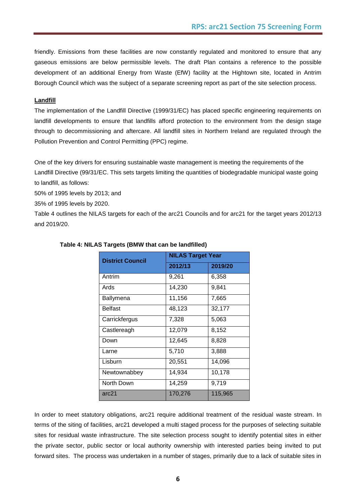friendly. Emissions from these facilities are now constantly regulated and monitored to ensure that any gaseous emissions are below permissible levels. The draft Plan contains a reference to the possible development of an additional Energy from Waste (EfW) facility at the Hightown site, located in Antrim Borough Council which was the subject of a separate screening report as part of the site selection process.

#### **Landfill**

The implementation of the Landfill Directive (1999/31/EC) has placed specific engineering requirements on landfill developments to ensure that landfills afford protection to the environment from the design stage through to decommissioning and aftercare. All landfill sites in Northern Ireland are regulated through the Pollution Prevention and Control Permitting (PPC) regime.

One of the key drivers for ensuring sustainable waste management is meeting the requirements of the Landfill Directive (99/31/EC. This sets targets limiting the quantities of biodegradable municipal waste going to landfill, as follows:

50% of 1995 levels by 2013; and

35% of 1995 levels by 2020.

Table 4 outlines the NILAS targets for each of the arc21 Councils and for arc21 for the target years 2012/13 and 2019/20.

| <b>District Council</b> | <b>NILAS Target Year</b> |         |  |
|-------------------------|--------------------------|---------|--|
|                         | 2012/13                  | 2019/20 |  |
| Antrim                  | 9,261                    | 6,358   |  |
| Ards                    | 14,230                   | 9,841   |  |
| Ballymena               | 11,156                   | 7,665   |  |
| <b>Belfast</b>          | 48,123                   | 32,177  |  |
| Carrickfergus           | 7,328                    | 5,063   |  |
| Castlereagh             | 12,079                   | 8,152   |  |
| Down                    | 12,645                   | 8,828   |  |
| Larne                   | 5,710                    | 3,888   |  |
| Lisburn                 | 20,551                   | 14,096  |  |
| Newtownabbey            | 14,934                   | 10,178  |  |
| North Down              | 14,259                   | 9,719   |  |
| arc21                   | 170,276                  | 115,965 |  |

#### **Table 4: NILAS Targets (BMW that can be landfilled)**

In order to meet statutory obligations, arc21 require additional treatment of the residual waste stream. In terms of the siting of facilities, arc21 developed a multi staged process for the purposes of selecting suitable sites for residual waste infrastructure. The site selection process sought to identify potential sites in either the private sector, public sector or local authority ownership with interested parties being invited to put forward sites. The process was undertaken in a number of stages, primarily due to a lack of suitable sites in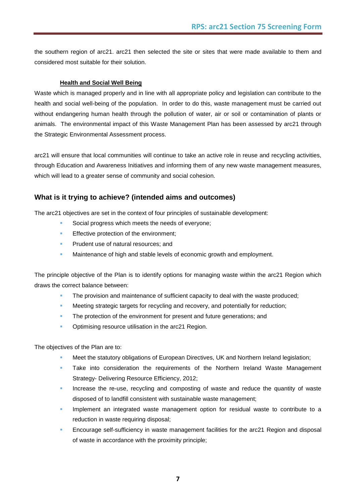the southern region of arc21. arc21 then selected the site or sites that were made available to them and considered most suitable for their solution.

#### **Health and Social Well Being**

Waste which is managed properly and in line with all appropriate policy and legislation can contribute to the health and social well-being of the population. In order to do this, waste management must be carried out without endangering human health through the pollution of water, air or soil or contamination of plants or animals. The environmental impact of this Waste Management Plan has been assessed by arc21 through the Strategic Environmental Assessment process.

arc21 will ensure that local communities will continue to take an active role in reuse and recycling activities, through Education and Awareness Initiatives and informing them of any new waste management measures, which will lead to a greater sense of community and social cohesion.

#### **What is it trying to achieve? (intended aims and outcomes)**

The arc21 objectives are set in the context of four principles of sustainable development:

- Social progress which meets the needs of everyone;
- **Effective protection of the environment;**
- Prudent use of natural resources; and
- **Maintenance of high and stable levels of economic growth and employment.**

The principle objective of the Plan is to identify options for managing waste within the arc21 Region which draws the correct balance between:

- The provision and maintenance of sufficient capacity to deal with the waste produced;
- Meeting strategic targets for recycling and recovery, and potentially for reduction;
- The protection of the environment for present and future generations; and
- Optimising resource utilisation in the arc21 Region.

The objectives of the Plan are to:

- Meet the statutory obligations of European Directives, UK and Northern Ireland legislation;
- Take into consideration the requirements of the Northern Ireland Waste Management Strategy- Delivering Resource Efficiency, 2012;
- Increase the re-use, recycling and composting of waste and reduce the quantity of waste disposed of to landfill consistent with sustainable waste management;
- Implement an integrated waste management option for residual waste to contribute to a reduction in waste requiring disposal;
- Encourage self-sufficiency in waste management facilities for the arc21 Region and disposal of waste in accordance with the proximity principle;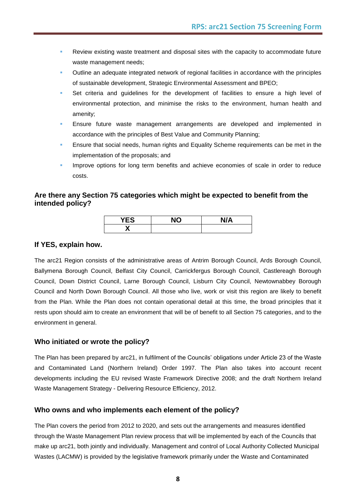- Review existing waste treatment and disposal sites with the capacity to accommodate future waste management needs;
- Outline an adequate integrated network of regional facilities in accordance with the principles of sustainable development, Strategic Environmental Assessment and BPEO;
- Set criteria and guidelines for the development of facilities to ensure a high level of environmental protection, and minimise the risks to the environment, human health and amenity;
- Ensure future waste management arrangements are developed and implemented in accordance with the principles of Best Value and Community Planning;
- Ensure that social needs, human rights and Equality Scheme requirements can be met in the implementation of the proposals; and
- Improve options for long term benefits and achieve economies of scale in order to reduce costs.

#### **Are there any Section 75 categories which might be expected to benefit from the intended policy?**

| $\cdots$<br>. .<br>ES. | . | N/A<br>$\mathbf{u}$ |
|------------------------|---|---------------------|
| $\bullet$<br>,,        |   |                     |

#### **If YES, explain how.**

The arc21 Region consists of the administrative areas of Antrim Borough Council, Ards Borough Council, Ballymena Borough Council, Belfast City Council, Carrickfergus Borough Council, Castlereagh Borough Council, Down District Council, Larne Borough Council, Lisburn City Council, Newtownabbey Borough Council and North Down Borough Council. All those who live, work or visit this region are likely to benefit from the Plan. While the Plan does not contain operational detail at this time, the broad principles that it rests upon should aim to create an environment that will be of benefit to all Section 75 categories, and to the environment in general.

#### **Who initiated or wrote the policy?**

The Plan has been prepared by arc21, in fulfilment of the Councils" obligations under Article 23 of the Waste and Contaminated Land (Northern Ireland) Order 1997. The Plan also takes into account recent developments including the EU revised Waste Framework Directive 2008; and the draft Northern Ireland Waste Management Strategy - Delivering Resource Efficiency, 2012.

#### **Who owns and who implements each element of the policy?**

The Plan covers the period from 2012 to 2020, and sets out the arrangements and measures identified through the Waste Management Plan review process that will be implemented by each of the Councils that make up arc21, both jointly and individually. Management and control of Local Authority Collected Municipal Wastes (LACMW) is provided by the legislative framework primarily under the Waste and Contaminated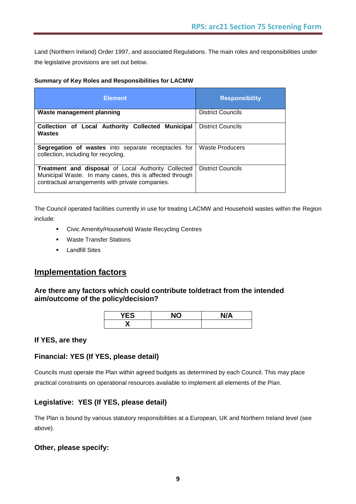Land (Northern Ireland) Order 1997, and associated Regulations. The main roles and responsibilities under the legislative provisions are set out below.

#### **Summary of Key Roles and Responsibilities for LACMW**

| <b>Element</b>                                                                                                                                                      | <b>Responsibility</b>    |
|---------------------------------------------------------------------------------------------------------------------------------------------------------------------|--------------------------|
| Waste management planning                                                                                                                                           | <b>District Councils</b> |
| Collection of Local Authority Collected Municipal<br>Wastes                                                                                                         | <b>District Councils</b> |
| <b>Segregation of wastes</b> into separate receptacles for<br>collection, including for recycling.                                                                  | Waste Producers          |
| Treatment and disposal of Local Authority Collected<br>Municipal Waste. In many cases, this is affected through<br>contractual arrangements with private companies. | <b>District Councils</b> |

The Council operated facilities currently in use for treating LACMW and Household wastes within the Region include:

- Civic Amenity/Household Waste Recycling Centres
- **Waste Transfer Stations**
- **-** Landfill Sites

### **Implementation factors**

#### **Are there any factors which could contribute to/detract from the intended aim/outcome of the policy/decision?**

| <b>YES</b> | הוא | N/A |
|------------|-----|-----|
| v          |     |     |

#### **If YES, are they**

#### **Financial: YES (If YES, please detail)**

Councils must operate the Plan within agreed budgets as determined by each Council. This may place practical constraints on operational resources available to implement all elements of the Plan.

#### **Legislative: YES (If YES, please detail)**

The Plan is bound by various statutory responsibilities at a European, UK and Northern Ireland level (see above).

#### **Other, please specify:**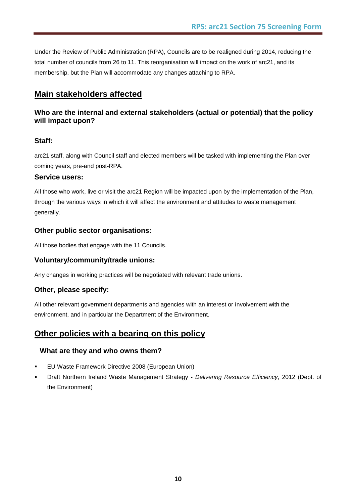Under the Review of Public Administration (RPA), Councils are to be realigned during 2014, reducing the total number of councils from 26 to 11. This reorganisation will impact on the work of arc21, and its membership, but the Plan will accommodate any changes attaching to RPA.

## **Main stakeholders affected**

#### **Who are the internal and external stakeholders (actual or potential) that the policy will impact upon?**

#### **Staff:**

arc21 staff, along with Council staff and elected members will be tasked with implementing the Plan over coming years, pre-and post-RPA.

#### **Service users:**

All those who work, live or visit the arc21 Region will be impacted upon by the implementation of the Plan, through the various ways in which it will affect the environment and attitudes to waste management generally.

#### **Other public sector organisations:**

All those bodies that engage with the 11 Councils.

#### **Voluntary/community/trade unions:**

Any changes in working practices will be negotiated with relevant trade unions.

#### **Other, please specify:**

All other relevant government departments and agencies with an interest or involvement with the environment, and in particular the Department of the Environment.

## **Other policies with a bearing on this policy**

#### **What are they and who owns them?**

- **EU Waste Framework Directive 2008 (European Union)**
- Draft Northern Ireland Waste Management Strategy *Delivering Resource Efficiency*, 2012 (Dept. of the Environment)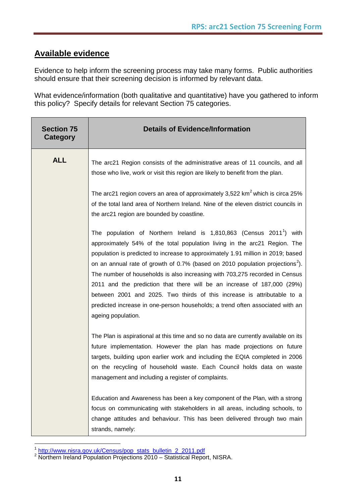### **Available evidence**

Evidence to help inform the screening process may take many forms. Public authorities should ensure that their screening decision is informed by relevant data.

What evidence/information (both qualitative and quantitative) have you gathered to inform this policy? Specify details for relevant Section 75 categories.

| <b>Section 75</b><br><b>Category</b> | <b>Details of Evidence/Information</b>                                                                                                                                                                                                                                                                                                                                                                                                                                                                                                                                                                                                                                                     |
|--------------------------------------|--------------------------------------------------------------------------------------------------------------------------------------------------------------------------------------------------------------------------------------------------------------------------------------------------------------------------------------------------------------------------------------------------------------------------------------------------------------------------------------------------------------------------------------------------------------------------------------------------------------------------------------------------------------------------------------------|
| <b>ALL</b>                           | The arc21 Region consists of the administrative areas of 11 councils, and all<br>those who live, work or visit this region are likely to benefit from the plan.                                                                                                                                                                                                                                                                                                                                                                                                                                                                                                                            |
|                                      | The arc21 region covers an area of approximately 3,522 $km^2$ which is circa 25%<br>of the total land area of Northern Ireland. Nine of the eleven district councils in<br>the arc21 region are bounded by coastline.                                                                                                                                                                                                                                                                                                                                                                                                                                                                      |
|                                      | The population of Northern Ireland is 1,810,863 (Census 2011 <sup>1</sup> ) with<br>approximately 54% of the total population living in the arc21 Region. The<br>population is predicted to increase to approximately 1.91 million in 2019; based<br>on an annual rate of growth of 0.7% (based on 2010 population projections <sup>2</sup> ).<br>The number of households is also increasing with 703,275 recorded in Census<br>2011 and the prediction that there will be an increase of 187,000 (29%)<br>between 2001 and 2025. Two thirds of this increase is attributable to a<br>predicted increase in one-person households; a trend often associated with an<br>ageing population. |
|                                      | The Plan is aspirational at this time and so no data are currently available on its<br>future implementation. However the plan has made projections on future<br>targets, building upon earlier work and including the EQIA completed in 2006<br>on the recycling of household waste. Each Council holds data on waste<br>management and including a register of complaints.                                                                                                                                                                                                                                                                                                               |
|                                      | Education and Awareness has been a key component of the Plan, with a strong<br>focus on communicating with stakeholders in all areas, including schools, to<br>change attitudes and behaviour. This has been delivered through two main<br>strands, namely:                                                                                                                                                                                                                                                                                                                                                                                                                                |

 1 [http://www.nisra.gov.uk/Census/pop\\_stats\\_bulletin\\_2\\_2011.pdf](http://www.nisra.gov.uk/Census/pop_stats_bulletin_2_2011.pdf)

 $2$  Northern Ireland Population Projections 2010 – Statistical Report, NISRA.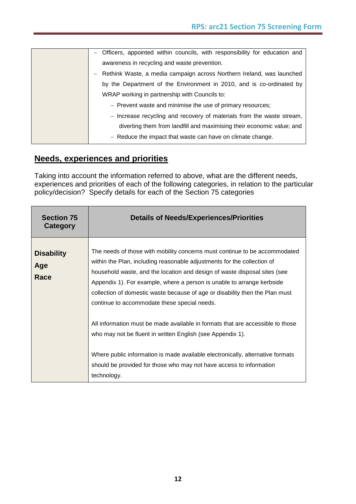| - Officers, appointed within councils, with responsibility for education and |
|------------------------------------------------------------------------------|
| awareness in recycling and waste prevention.                                 |
| Rethink Waste, a media campaign across Northern Ireland, was launched        |
| by the Department of the Environment in 2010, and is co-ordinated by         |
| WRAP working in partnership with Councils to:                                |
| - Prevent waste and minimise the use of primary resources;                   |
| - Increase recycling and recovery of materials from the waste stream,        |
| diverting them from landfill and maximising their economic value; and        |
| $-$ Reduce the impact that waste can have on climate change.                 |

### **Needs, experiences and priorities**

Taking into account the information referred to above, what are the different needs, experiences and priorities of each of the following categories, in relation to the particular policy/decision? Specify details for each of the Section 75 categories

| <b>Section 75</b><br>Category    | <b>Details of Needs/Experiences/Priorities</b>                                                                                                                                                                                                                                                                                                                                                                                                                                                                                                                                                                                                                                                                                                                       |
|----------------------------------|----------------------------------------------------------------------------------------------------------------------------------------------------------------------------------------------------------------------------------------------------------------------------------------------------------------------------------------------------------------------------------------------------------------------------------------------------------------------------------------------------------------------------------------------------------------------------------------------------------------------------------------------------------------------------------------------------------------------------------------------------------------------|
| <b>Disability</b><br>Age<br>Race | The needs of those with mobility concerns must continue to be accommodated<br>within the Plan, including reasonable adjustments for the collection of<br>household waste, and the location and design of waste disposal sites (see<br>Appendix 1). For example, where a person is unable to arrange kerbside<br>collection of domestic waste because of age or disability then the Plan must<br>continue to accommodate these special needs.<br>All information must be made available in formats that are accessible to those<br>who may not be fluent in written English (see Appendix 1).<br>Where public information is made available electronically, alternative formats<br>should be provided for those who may not have access to information<br>technology. |
|                                  |                                                                                                                                                                                                                                                                                                                                                                                                                                                                                                                                                                                                                                                                                                                                                                      |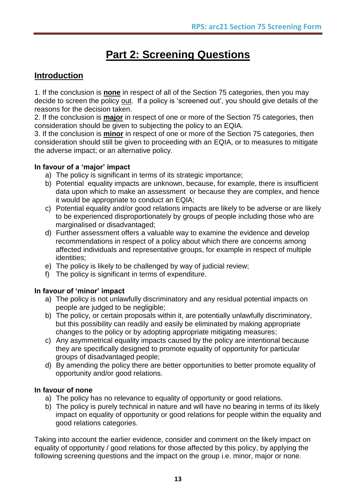## **Part 2: Screening Questions**

## **Introduction**

1. If the conclusion is **none** in respect of all of the Section 75 categories, then you may decide to screen the policy out. If a policy is "screened out", you should give details of the reasons for the decision taken.

2. If the conclusion is **major** in respect of one or more of the Section 75 categories, then consideration should be given to subjecting the policy to an EQIA.

3. If the conclusion is **minor** in respect of one or more of the Section 75 categories, then consideration should still be given to proceeding with an EQIA, or to measures to mitigate the adverse impact; or an alternative policy.

#### **In favour of a 'major' impact**

- a) The policy is significant in terms of its strategic importance;
- b) Potential equality impacts are unknown, because, for example, there is insufficient data upon which to make an assessment or because they are complex, and hence it would be appropriate to conduct an EQIA;
- c) Potential equality and/or good relations impacts are likely to be adverse or are likely to be experienced disproportionately by groups of people including those who are marginalised or disadvantaged;
- d) Further assessment offers a valuable way to examine the evidence and develop recommendations in respect of a policy about which there are concerns among affected individuals and representative groups, for example in respect of multiple identities;
- e) The policy is likely to be challenged by way of judicial review;
- f) The policy is significant in terms of expenditure.

#### **In favour of 'minor' impact**

- a) The policy is not unlawfully discriminatory and any residual potential impacts on people are judged to be negligible;
- b) The policy, or certain proposals within it, are potentially unlawfully discriminatory, but this possibility can readily and easily be eliminated by making appropriate changes to the policy or by adopting appropriate mitigating measures;
- c) Any asymmetrical equality impacts caused by the policy are intentional because they are specifically designed to promote equality of opportunity for particular groups of disadvantaged people;
- d) By amending the policy there are better opportunities to better promote equality of opportunity and/or good relations.

#### **In favour of none**

- a) The policy has no relevance to equality of opportunity or good relations.
- b) The policy is purely technical in nature and will have no bearing in terms of its likely impact on equality of opportunity or good relations for people within the equality and good relations categories.

Taking into account the earlier evidence, consider and comment on the likely impact on equality of opportunity / good relations for those affected by this policy, by applying the following screening questions and the impact on the group i.e. minor, major or none.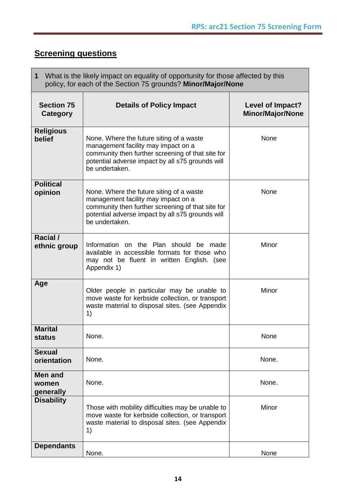## **Screening questions**

| What is the likely impact on equality of opportunity for those affected by this<br>1<br>policy, for each of the Section 75 grounds? Minor/Major/None |                                                                                                                                                                                                            |                                             |  |
|------------------------------------------------------------------------------------------------------------------------------------------------------|------------------------------------------------------------------------------------------------------------------------------------------------------------------------------------------------------------|---------------------------------------------|--|
| <b>Section 75</b><br>Category                                                                                                                        | <b>Details of Policy Impact</b>                                                                                                                                                                            | Level of Impact?<br><b>Minor/Major/None</b> |  |
| <b>Religious</b><br>belief                                                                                                                           | None. Where the future siting of a waste<br>management facility may impact on a<br>community then further screening of that site for<br>potential adverse impact by all s75 grounds will<br>be undertaken. | None                                        |  |
| <b>Political</b><br>opinion                                                                                                                          | None. Where the future siting of a waste<br>management facility may impact on a<br>community then further screening of that site for<br>potential adverse impact by all s75 grounds will<br>be undertaken. | None                                        |  |
| Racial /<br>ethnic group                                                                                                                             | Information on the Plan should be made<br>available in accessible formats for those who<br>may not be fluent in written English. (see<br>Appendix 1)                                                       | Minor                                       |  |
| Age                                                                                                                                                  | Older people in particular may be unable to<br>move waste for kerbside collection, or transport<br>waste material to disposal sites. (see Appendix<br>1)                                                   | Minor                                       |  |
| <b>Marital</b><br>status                                                                                                                             | None.                                                                                                                                                                                                      | None                                        |  |
| <b>Sexual</b><br>orientation                                                                                                                         | None.                                                                                                                                                                                                      | None.                                       |  |
| <b>Men and</b><br>women<br>generally                                                                                                                 | None.                                                                                                                                                                                                      | None.                                       |  |
| <b>Disability</b>                                                                                                                                    | Those with mobility difficulties may be unable to<br>move waste for kerbside collection, or transport<br>waste material to disposal sites. (see Appendix<br>1)                                             | Minor                                       |  |
| <b>Dependants</b>                                                                                                                                    | None.                                                                                                                                                                                                      | None                                        |  |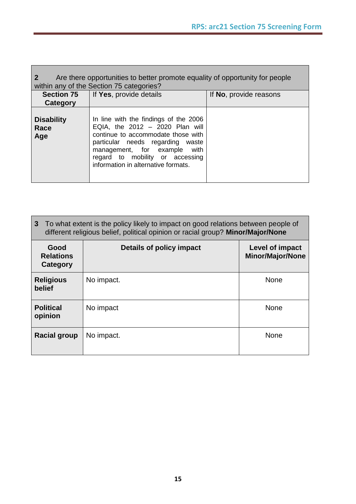| Are there opportunities to better promote equality of opportunity for people<br>within any of the Section 75 categories? |                                                                                                                                                                                                                                                                |                        |  |  |  |
|--------------------------------------------------------------------------------------------------------------------------|----------------------------------------------------------------------------------------------------------------------------------------------------------------------------------------------------------------------------------------------------------------|------------------------|--|--|--|
| Section 75                                                                                                               | If Yes, provide details                                                                                                                                                                                                                                        | If No, provide reasons |  |  |  |
| Category                                                                                                                 |                                                                                                                                                                                                                                                                |                        |  |  |  |
| <b>Disability</b><br>Race<br>Age                                                                                         | In line with the findings of the 2006<br>EQIA, the $2012 - 2020$ Plan will<br>continue to accommodate those with<br>particular needs regarding waste<br>management, for example with<br>regard to mobility or accessing<br>information in alternative formats. |                        |  |  |  |

| $\mathbf{3}$<br>To what extent is the policy likely to impact on good relations between people of<br>different religious belief, political opinion or racial group? Minor/Major/None |                          |                                            |  |  |
|--------------------------------------------------------------------------------------------------------------------------------------------------------------------------------------|--------------------------|--------------------------------------------|--|--|
| Good<br><b>Relations</b><br>Category                                                                                                                                                 | Details of policy impact | Level of impact<br><b>Minor/Major/None</b> |  |  |
| <b>Religious</b><br>belief                                                                                                                                                           | No impact.               | <b>None</b>                                |  |  |
| <b>Political</b><br>opinion                                                                                                                                                          | No impact                | None                                       |  |  |
| <b>Racial group</b>                                                                                                                                                                  | No impact.               | <b>None</b>                                |  |  |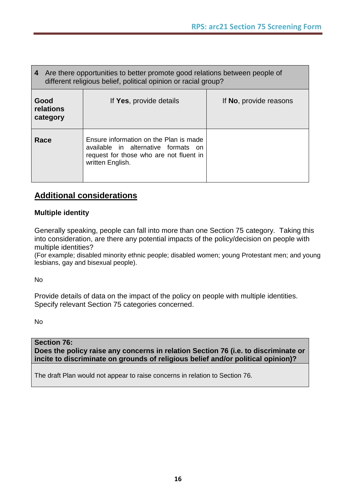| Are there opportunities to better promote good relations between people of<br>4<br>different religious belief, political opinion or racial group? |                                                                                                                                              |                                |  |  |
|---------------------------------------------------------------------------------------------------------------------------------------------------|----------------------------------------------------------------------------------------------------------------------------------------------|--------------------------------|--|--|
| Good<br>relations<br>category                                                                                                                     | If Yes, provide details                                                                                                                      | If <b>No</b> , provide reasons |  |  |
| Race                                                                                                                                              | Ensure information on the Plan is made<br>available in alternative formats on<br>request for those who are not fluent in<br>written English. |                                |  |  |

## **Additional considerations**

#### **Multiple identity**

Generally speaking, people can fall into more than one Section 75 category. Taking this into consideration, are there any potential impacts of the policy/decision on people with multiple identities?

(For example; disabled minority ethnic people; disabled women; young Protestant men; and young lesbians, gay and bisexual people).

No

Provide details of data on the impact of the policy on people with multiple identities. Specify relevant Section 75 categories concerned.

No

### **Section 76:**

**Does the policy raise any concerns in relation Section 76 (i.e. to discriminate or incite to discriminate on grounds of religious belief and/or political opinion)?**

The draft Plan would not appear to raise concerns in relation to Section 76.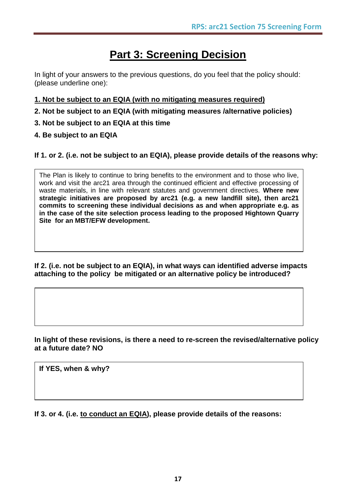## **Part 3: Screening Decision**

In light of your answers to the previous questions, do you feel that the policy should: (please underline one):

- **1. Not be subject to an EQIA (with no mitigating measures required)**
- **2. Not be subject to an EQIA (with mitigating measures /alternative policies)**
- **3. Not be subject to an EQIA at this time**
- **4. Be subject to an EQIA**

#### **If 1. or 2. (i.e. not be subject to an EQIA), please provide details of the reasons why:**

The Plan is likely to continue to bring benefits to the environment and to those who live, work and visit the arc21 area through the continued efficient and effective processing of waste materials, in line with relevant statutes and government directives. **Where new strategic initiatives are proposed by arc21 (e.g. a new landfill site), then arc21 commits to screening these individual decisions as and when appropriate e.g. as in the case of the site selection process leading to the proposed Hightown Quarry Site for an MBT/EFW development.**

**If 2. (i.e. not be subject to an EQIA), in what ways can identified adverse impacts attaching to the policy be mitigated or an alternative policy be introduced?**

**In light of these revisions, is there a need to re-screen the revised/alternative policy at a future date? NO**

**If YES, when & why?**

**If 3. or 4. (i.e. to conduct an EQIA), please provide details of the reasons:**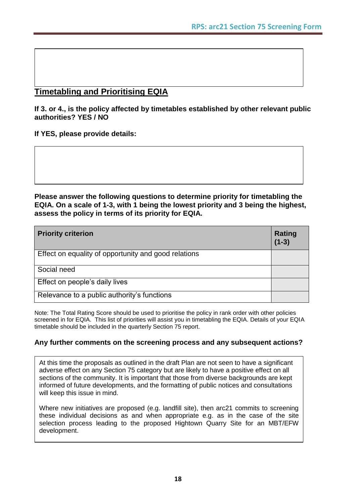### **Timetabling and Prioritising EQIA**

**If 3. or 4., is the policy affected by timetables established by other relevant public authorities? YES / NO**

**If YES, please provide details:**

**Please answer the following questions to determine priority for timetabling the EQIA. On a scale of 1-3, with 1 being the lowest priority and 3 being the highest, assess the policy in terms of its priority for EQIA.**

| <b>Priority criterion</b>                            | <b>Rating</b><br>$(1-3)$ |
|------------------------------------------------------|--------------------------|
| Effect on equality of opportunity and good relations |                          |
| Social need                                          |                          |
| Effect on people's daily lives                       |                          |
| Relevance to a public authority's functions          |                          |

Note: The Total Rating Score should be used to prioritise the policy in rank order with other policies screened in for EQIA. This list of priorities will assist you in timetabling the EQIA. Details of your EQIA timetable should be included in the quarterly Section 75 report.

#### **Any further comments on the screening process and any subsequent actions?**

At this time the proposals as outlined in the draft Plan are not seen to have a significant adverse effect on any Section 75 category but are likely to have a positive effect on all sections of the community. It is important that those from diverse backgrounds are kept informed of future developments, and the formatting of public notices and consultations will keep this issue in mind.

Where new initiatives are proposed (e.g. landfill site), then arc21 commits to screening these individual decisions as and when appropriate e.g. as in the case of the site selection process leading to the proposed Hightown Quarry Site for an MBT/EFW development.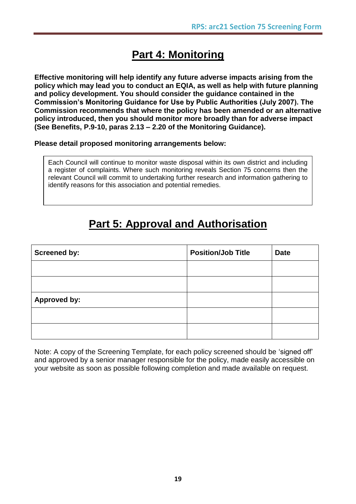## **Part 4: Monitoring**

**Effective monitoring will help identify any future adverse impacts arising from the policy which may lead you to conduct an EQIA, as well as help with future planning and policy development. You should consider the guidance contained in the Commission's Monitoring Guidance for Use by Public Authorities (July 2007). The Commission recommends that where the policy has been amended or an alternative policy introduced, then you should monitor more broadly than for adverse impact (See Benefits, P.9-10, paras 2.13 – 2.20 of the Monitoring Guidance).**

#### **Please detail proposed monitoring arrangements below:**

Each Council will continue to monitor waste disposal within its own district and including a register of complaints. Where such monitoring reveals Section 75 concerns then the relevant Council will commit to undertaking further research and information gathering to identify reasons for this association and potential remedies.

## **Part 5: Approval and Authorisation**

| <b>Screened by:</b> | <b>Position/Job Title</b> | <b>Date</b> |
|---------------------|---------------------------|-------------|
|                     |                           |             |
|                     |                           |             |
| <b>Approved by:</b> |                           |             |
|                     |                           |             |
|                     |                           |             |

Note: A copy of the Screening Template, for each policy screened should be "signed off" and approved by a senior manager responsible for the policy, made easily accessible on your website as soon as possible following completion and made available on request.